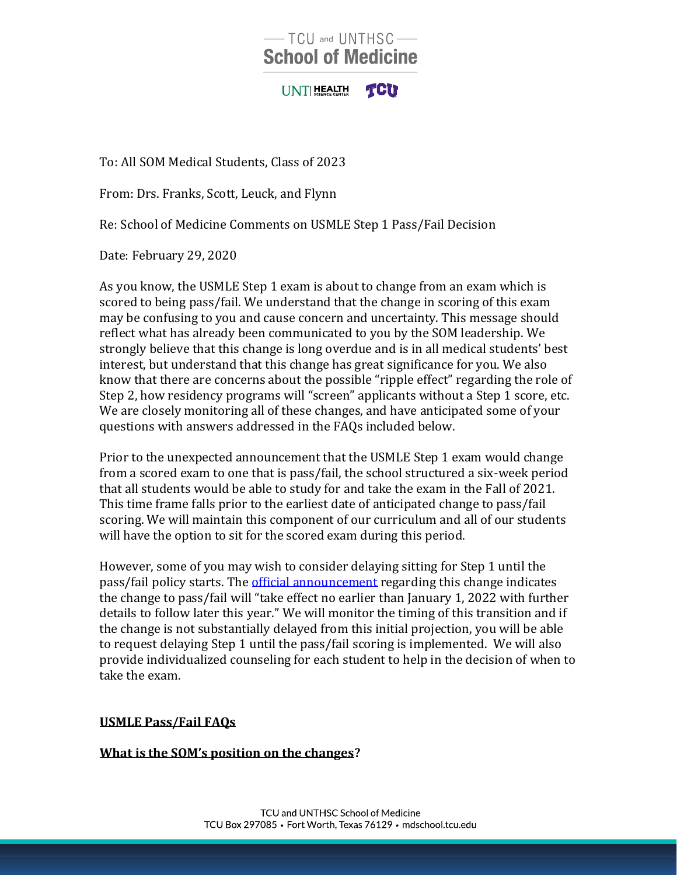# -TCU and UNTHSC-**School of Medicine**

UNTIHEALTH TCU

To: All SOM Medical Students, Class of 2023

From: Drs. Franks, Scott, Leuck, and Flynn

Re: School of Medicine Comments on USMLE Step 1 Pass/Fail Decision

Date: February 29, 2020

As you know, the USMLE Step 1 exam is about to change from an exam which is scored to being pass/fail. We understand that the change in scoring of this exam may be confusing to you and cause concern and uncertainty. This message should reflect what has already been communicated to you by the SOM leadership. We strongly believe that this change is long overdue and is in all medical students' best interest, but understand that this change has great significance for you. We also know that there are concerns about the possible "ripple effect" regarding the role of Step 2, how residency programs will "screen" applicants without a Step 1 score, etc. We are closely monitoring all of these changes, and have anticipated some of your questions with answers addressed in the FAQs included below.

Prior to the unexpected announcement that the USMLE Step 1 exam would change from a scored exam to one that is pass/fail, the school structured a six-week period that all students would be able to study for and take the exam in the Fall of 2021. This time frame falls prior to the earliest date of anticipated change to pass/fail scoring. We will maintain this component of our curriculum and all of our students will have the option to sit for the scored exam during this period.

However, some of you may wish to consider delaying sitting for Step 1 until the pass/fail policy starts. The *official announcement regarding this change indicates* the change to pass/fail will "take effect no earlier than January 1, 2022 with further details to follow later this year." We will monitor the timing of this transition and if the change is not substantially delayed from this initial projection, you will be able to request delaying Step 1 until the pass/fail scoring is implemented. We will also provide individualized counseling for each student to help in the decision of when to take the exam.

#### **USMLE Pass/Fail FAQs**

### **What is the SOM's position on the changes?**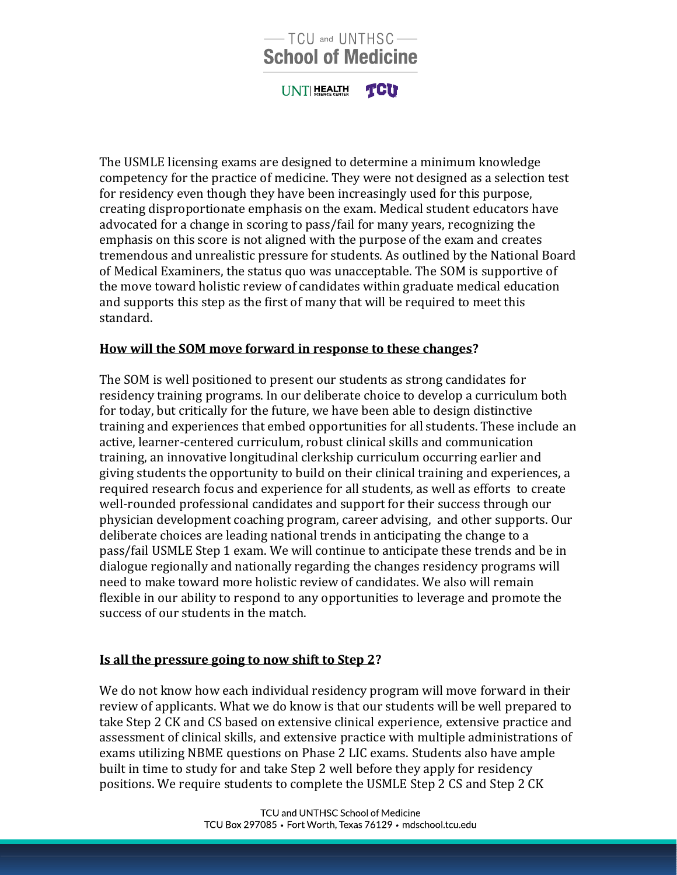# $-$  TCU and UNTHSC $-$ **School of Medicine**

UNTIHEALTH **TCU** 

The USMLE licensing exams are designed to determine a minimum knowledge competency for the practice of medicine. They were not designed as a selection test for residency even though they have been increasingly used for this purpose, creating disproportionate emphasis on the exam. Medical student educators have advocated for a change in scoring to pass/fail for many years, recognizing the emphasis on this score is not aligned with the purpose of the exam and creates tremendous and unrealistic pressure for students. As outlined by the National Board of Medical Examiners, the status quo was unacceptable. The SOM is supportive of the move toward holistic review of candidates within graduate medical education and supports this step as the first of many that will be required to meet this standard.

### **How will the SOM move forward in response to these changes?**

The SOM is well positioned to present our students as strong candidates for residency training programs. In our deliberate choice to develop a curriculum both for today, but critically for the future, we have been able to design distinctive training and experiences that embed opportunities for all students. These include an active, learner-centered curriculum, robust clinical skills and communication training, an innovative longitudinal clerkship curriculum occurring earlier and giving students the opportunity to build on their clinical training and experiences, a required research focus and experience for all students, as well as efforts to create well-rounded professional candidates and support for their success through our physician development coaching program, career advising, and other supports. Our deliberate choices are leading national trends in anticipating the change to a pass/fail USMLE Step 1 exam. We will continue to anticipate these trends and be in dialogue regionally and nationally regarding the changes residency programs will need to make toward more holistic review of candidates. We also will remain flexible in our ability to respond to any opportunities to leverage and promote the success of our students in the match.

#### **Is all the pressure going to now shift to Step 2?**

We do not know how each individual residency program will move forward in their review of applicants. What we do know is that our students will be well prepared to take Step 2 CK and CS based on extensive clinical experience, extensive practice and assessment of clinical skills, and extensive practice with multiple administrations of exams utilizing NBME questions on Phase 2 LIC exams. Students also have ample built in time to study for and take Step 2 well before they apply for residency positions. We require students to complete the USMLE Step 2 CS and Step 2 CK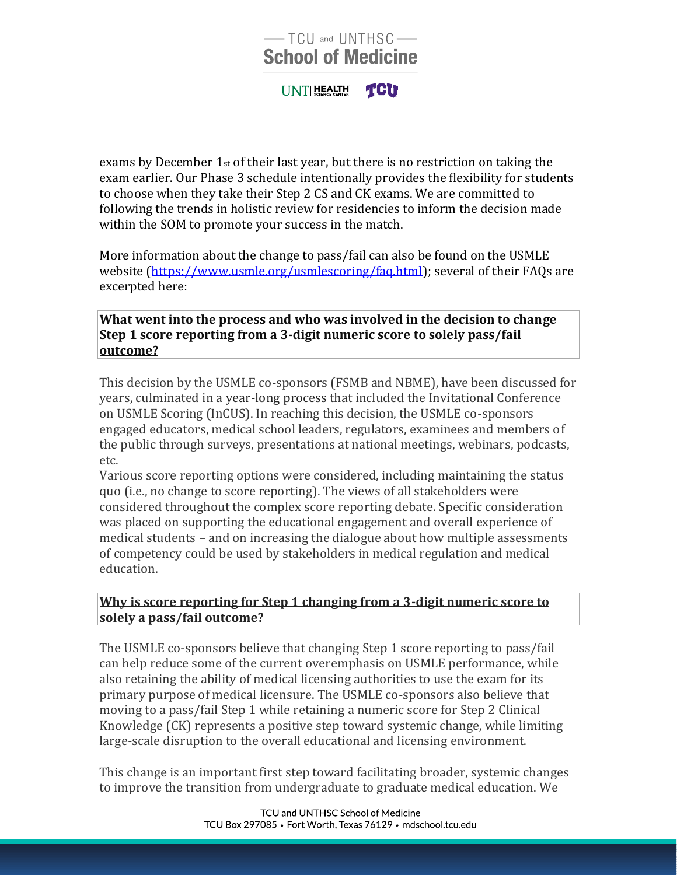# -TCU and UNTHSC-**School of Medicine**

**TCU** UNTIHEALTH

exams by December 1st of their last year, but there is no restriction on taking the exam earlier. Our Phase 3 schedule intentionally provides the flexibility for students to choose when they take their Step 2 CS and CK exams. We are committed to following the trends in holistic review for residencies to inform the decision made within the SOM to promote your success in the match.

More information about the change to pass/fail can also be found on the USMLE website [\(https://www.usmle.org/usmlescoring/faq.html\)](https://www.usmle.org/usmlescoring/faq.html); several of their FAQs are excerpted here:

### **[What went into the process and who was involved in the decision to change](https://www.usmle.org/usmlescoring/faq.html)  [Step 1 score reporting from a 3-digit numeric score to solely pass/fail](https://www.usmle.org/usmlescoring/faq.html)  [outcome?](https://www.usmle.org/usmlescoring/faq.html)**

This decision by the USMLE co-sponsors (FSMB and NBME), have been discussed for years, culminated in a [year-long process](https://www.usmle.org/inCus/) that included the Invitational Conference on USMLE Scoring (InCUS). In reaching this decision, the USMLE co-sponsors engaged educators, medical school leaders, regulators, examinees and members of the public through surveys, presentations at national meetings, webinars, podcasts, etc.

Various score reporting options were considered, including maintaining the status quo (i.e., no change to score reporting). The views of all stakeholders were considered throughout the complex score reporting debate. Specific consideration was placed on supporting the educational engagement and overall experience of medical students – and on increasing the dialogue about how multiple assessments of competency could be used by stakeholders in medical regulation and medical education.

### **[Why is score reporting for Step 1 changing from a 3-digit numeric score to](https://www.usmle.org/usmlescoring/faq.html)  [solely a pass/fail outcome?](https://www.usmle.org/usmlescoring/faq.html)**

The USMLE co-sponsors believe that changing Step 1 score reporting to pass/fail can help reduce some of the current overemphasis on USMLE performance, while also retaining the ability of medical licensing authorities to use the exam for its primary purpose of medical licensure. The USMLE co-sponsors also believe that moving to a pass/fail Step 1 while retaining a numeric score for Step 2 Clinical Knowledge (CK) represents a positive step toward systemic change, while limiting large-scale disruption to the overall educational and licensing environment.

This change is an important first step toward facilitating broader, systemic changes to improve the transition from undergraduate to graduate medical education. We